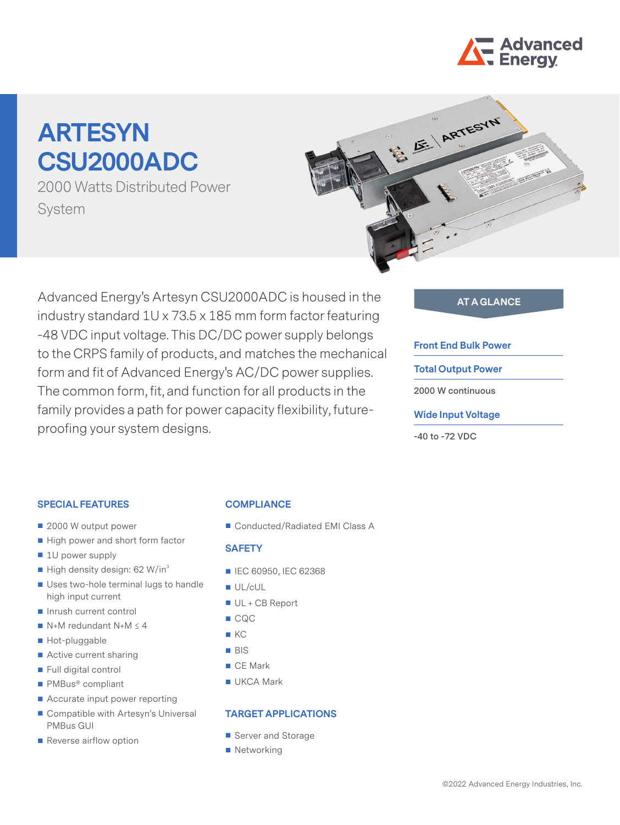

# **ARTESYN CSU2000ADC**

2000 Watts Distributed Power System



Advanced Energy's Artesyn CSU2000ADC is housed in the **AT A GLANCE** industry standard 1U x 73.5 x 185 mm form factor featuring -48 VDC input voltage. This DC/DC power supply belongs to the CRPS family of products, and matches the mechanical form and fit of Advanced Energy's AC/DC power supplies. The common form, fit, and function for all products in the family provides a path for power capacity flexibility, futureproofing your system designs.

#### **Front End Bulk Power**

**Total Output Power**

**2000 W continuous**

#### **Wide Input Voltage**

**-40 to -72 VDC**

#### **SPECIAL FEATURES**

- 2000 W output power
- High power and short form factor
- 1U power supply
- $\blacksquare$  High density design: 62 W/in<sup>3</sup>
- Uses two-hole terminal lugs to handle high input current
- Inrush current control
- $N+M$  redundant  $N+M \leq 4$
- Hot-pluggable
- Active current sharing
- Full digital control
- PMBus<sup>®</sup> compliant
- Accurate input power reporting
- Compatible with Artesyn's Universal PMBus GUI
- Reverse airflow option

#### **COMPLIANCE**

■ Conducted/Radiated EMI Class A

#### **SAFETY**

- IEC 60950, IEC 62368
- UL/cUL
- UL + CB Report
- CQC
- $K$
- **BIS**
- CE Mark
- **UKCA Mark**

#### **TARGET APPLICATIONS**

- Server and Storage
- Networking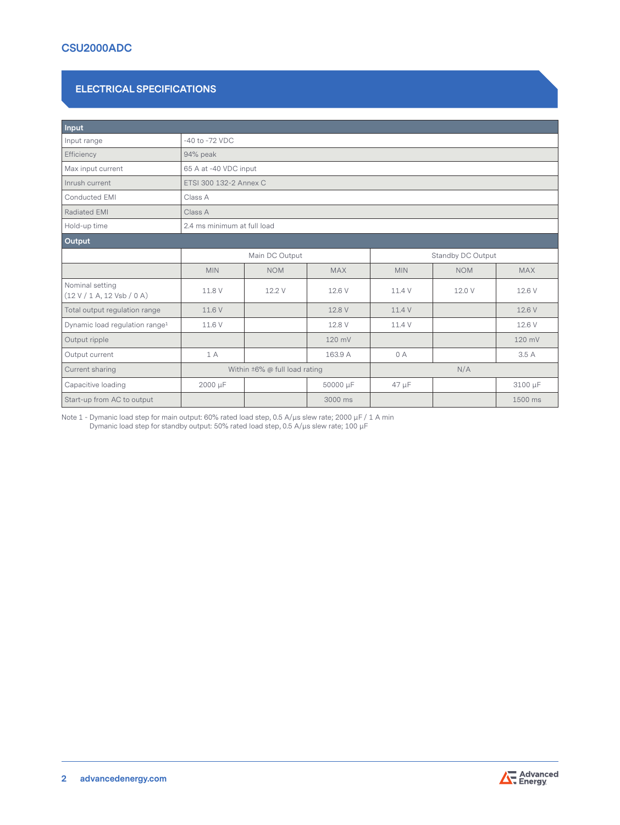# **CSU2000ADC**

#### **ELECTRICAL SPECIFICATIONS**

| Input                                         |                                     |                             |            |                   |            |            |  |  |
|-----------------------------------------------|-------------------------------------|-----------------------------|------------|-------------------|------------|------------|--|--|
| Input range                                   | -40 to -72 VDC                      |                             |            |                   |            |            |  |  |
| Efficiency                                    | 94% peak                            |                             |            |                   |            |            |  |  |
| Max input current                             | 65 A at -40 VDC input               |                             |            |                   |            |            |  |  |
| Inrush current                                |                                     | ETSI 300 132-2 Annex C      |            |                   |            |            |  |  |
| Conducted EMI                                 | Class A                             |                             |            |                   |            |            |  |  |
| Radiated EMI                                  | Class A                             |                             |            |                   |            |            |  |  |
| Hold-up time                                  |                                     | 2.4 ms minimum at full load |            |                   |            |            |  |  |
| Output                                        |                                     |                             |            |                   |            |            |  |  |
|                                               | Main DC Output                      |                             |            | Standby DC Output |            |            |  |  |
|                                               | <b>MIN</b>                          | <b>NOM</b>                  | <b>MAX</b> | <b>MIN</b>        | <b>NOM</b> | <b>MAX</b> |  |  |
| Nominal setting<br>(12 V / 1 A, 12 Vsb / 0 A) | 11.8 V                              | 12.2 V                      | 12.6 V     | 11.4 V            | 12.0 V     | 12.6 V     |  |  |
| Total output regulation range                 | 11.6 V                              |                             | 12.8 V     | 11.4 V            |            | 12.6 V     |  |  |
| Dynamic load regulation range <sup>1</sup>    | 11.6 V                              |                             | 12.8 V     | 11.4 V            |            | 12.6 V     |  |  |
| Output ripple                                 |                                     |                             | 120 mV     |                   |            | 120 mV     |  |  |
| Output current                                | 1 A                                 |                             | 163.9 A    | 0 A               |            | 3.5 A      |  |  |
| Current sharing                               | Within $\pm 6\%$ @ full load rating |                             | N/A        |                   |            |            |  |  |
| Capacitive loading                            | 2000 µF                             |                             | 50000 µF   | $47 \mu F$        |            | 3100 µF    |  |  |
| Start-up from AC to output                    |                                     |                             | 3000 ms    |                   |            | 1500 ms    |  |  |

Note 1 - Dymanic load step for main output: 60% rated load step, 0.5 A/µs slew rate; 2000 µF / 1 A min Dymanic load step for standby output: 50% rated load step, 0.5 A/µs slew rate; 100 µF



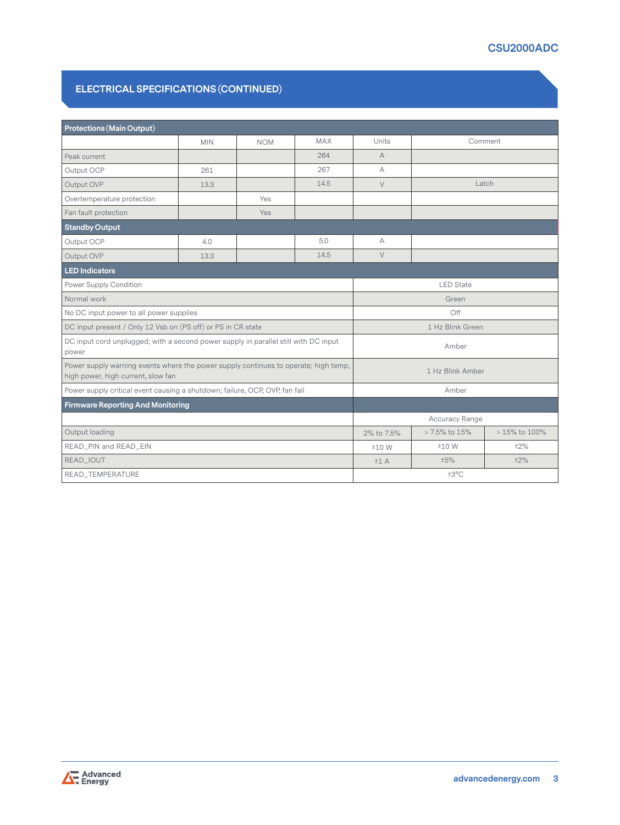#### **ELECTRICAL SPECIFICATIONS (CONTINUED)**

| <b>Protections (Main Output)</b>                                                                                          |            |            |                  |                  |               |         |  |
|---------------------------------------------------------------------------------------------------------------------------|------------|------------|------------------|------------------|---------------|---------|--|
|                                                                                                                           | <b>MIN</b> | <b>NOM</b> | <b>MAX</b>       | Units            |               | Comment |  |
| Peak current                                                                                                              |            |            | 264              | $\overline{A}$   |               |         |  |
| Output OCP                                                                                                                | 261        |            | 267              | A                |               |         |  |
| Output OVP                                                                                                                | 13.3       |            | 14.5             | $\vee$           | Latch         |         |  |
| Overtemperature protection                                                                                                |            | <b>Yes</b> |                  |                  |               |         |  |
| Fan fault protection                                                                                                      |            | Yes        |                  |                  |               |         |  |
| <b>Standby Output</b>                                                                                                     |            |            |                  |                  |               |         |  |
| Output OCP                                                                                                                | 4.0        |            | 5.0              | $\forall$        |               |         |  |
| Output OVP                                                                                                                | 13.3       |            | 14.5             | $\vee$           |               |         |  |
| <b>LED Indicators</b>                                                                                                     |            |            |                  |                  |               |         |  |
| Power Supply Condition                                                                                                    |            |            |                  | <b>LED</b> State |               |         |  |
| Normal work                                                                                                               |            |            |                  | Green            |               |         |  |
| No DC input power to all power supplies                                                                                   |            |            |                  | Off              |               |         |  |
| DC input present / Only 12 Vsb on (PS off) or PS in CR state                                                              |            |            |                  | 1 Hz Blink Green |               |         |  |
| DC input cord unplugged; with a second power supply in parallel still with DC input<br>power                              |            |            |                  | Amber            |               |         |  |
| Power supply warning events where the power supply continues to operate; high temp,<br>high power, high current, slow fan |            |            | 1 Hz Blink Amber |                  |               |         |  |
| Power supply critical event causing a shutdown; failure, OCP, OVP, fan fail                                               |            |            |                  | Amber            |               |         |  |
| <b>Firmware Reporting And Monitoring</b>                                                                                  |            |            |                  |                  |               |         |  |
|                                                                                                                           |            |            | Accuracy Range   |                  |               |         |  |
| Output loading                                                                                                            |            |            | 2% to 7.5%       | > 7.5% to 15%    | > 15% to 100% |         |  |
| READ_PIN and READ_EIN                                                                                                     |            |            | ±10 W            | ±10 W            | ±2%           |         |  |
| READ_IOUT                                                                                                                 |            |            |                  | ±1A              | ±5%           | ±2%     |  |
| READ_TEMPERATURE                                                                                                          |            |            | ±3°C             |                  |               |         |  |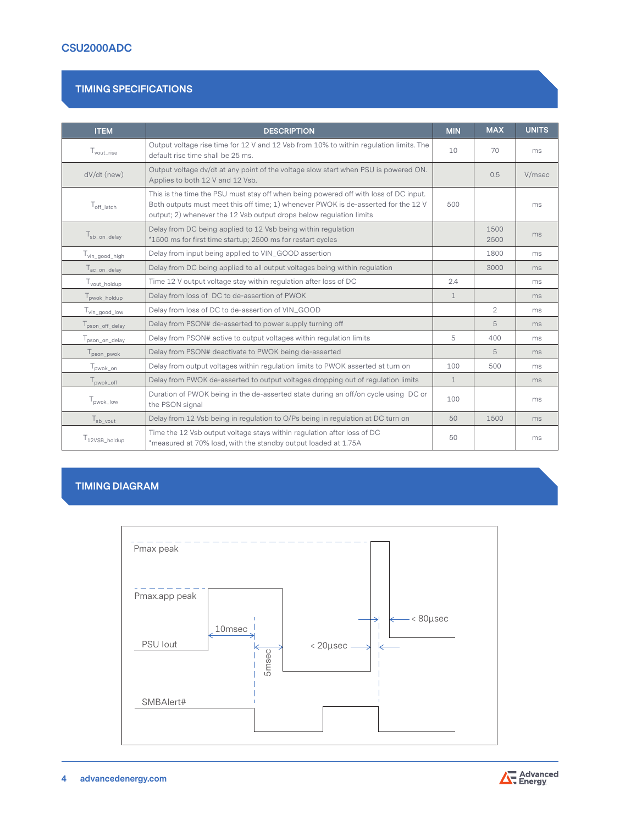# **CSU2000ADC**

#### **TIMING SPECIFICATIONS**

| <b>ITEM</b>                 | <b>DESCRIPTION</b>                                                                                                                                                                                                                                | <b>MIN</b>   | <b>MAX</b>     | <b>UNITS</b> |
|-----------------------------|---------------------------------------------------------------------------------------------------------------------------------------------------------------------------------------------------------------------------------------------------|--------------|----------------|--------------|
| $T_{\text{vout\_rise}}$     | Output voltage rise time for 12 V and 12 Vsb from 10% to within regulation limits. The<br>default rise time shall be 25 ms.                                                                                                                       | 10           | 70             | ms           |
| dV/dt (new)                 | Output voltage dv/dt at any point of the voltage slow start when PSU is powered ON.<br>Applies to both 12 V and 12 Vsb.                                                                                                                           |              | 0.5            | V/msec       |
| $T_{\rm off\ [latch]}$      | This is the time the PSU must stay off when being powered off with loss of DC input.<br>Both outputs must meet this off time; 1) whenever PWOK is de-asserted for the 12 V<br>output; 2) whenever the 12 Vsb output drops below regulation limits | 500          |                | ms           |
| I <sub>sb_on_delay</sub>    | Delay from DC being applied to 12 Vsb being within regulation<br>*1500 ms for first time startup; 2500 ms for restart cycles                                                                                                                      |              | 1500<br>2500   | ms           |
| T <sub>vin_good_high</sub>  | Delay from input being applied to VIN_GOOD assertion                                                                                                                                                                                              |              | 1800           | ms           |
| $T_{ac\_on\_delay}$         | Delay from DC being applied to all output voltages being within regulation                                                                                                                                                                        |              | 3000           | ms           |
| T <sub>vout_holdup</sub>    | Time 12 V output voltage stay within regulation after loss of DC                                                                                                                                                                                  | 2.4          |                | ms           |
| T <sub>pwok_holdup</sub>    | Delay from loss of DC to de-assertion of PWOK                                                                                                                                                                                                     | $\mathbf{1}$ |                | ms           |
| $I_{\text{vin\_good\_low}}$ | Delay from loss of DC to de-assertion of VIN_GOOD                                                                                                                                                                                                 |              | $\overline{2}$ | ms           |
| pson_off_delay              | Delay from PSON# de-asserted to power supply turning off                                                                                                                                                                                          |              | 5              | ms           |
| T <sub>pson_on_delay</sub>  | Delay from PSON# active to output voltages within regulation limits                                                                                                                                                                               | 5            | 400            | ms           |
| pson_pwok                   | Delay from PSON# deactivate to PWOK being de-asserted                                                                                                                                                                                             |              | 5              | ms           |
| $T_{\sf p wok\_on}$         | Delay from output voltages within regulation limits to PWOK asserted at turn on                                                                                                                                                                   | 100          | 500            | ms           |
| T <sub>pwok_off</sub>       | Delay from PWOK de-asserted to output voltages dropping out of regulation limits                                                                                                                                                                  | $\mathbf{1}$ |                | ms           |
| I <sub>pwok_low</sub>       | Duration of PWOK being in the de-asserted state during an off/on cycle using DC or<br>the PSON signal                                                                                                                                             | 100          |                | ms           |
| $T_{sb\_vout}$              | Delay from 12 Vsb being in regulation to O/Ps being in regulation at DC turn on                                                                                                                                                                   | 50           | 1500           | ms           |
| T <sub>12VSB_holdup</sub>   | Time the 12 Vsb output voltage stays within regulation after loss of DC<br>*measured at 70% load, with the standby output loaded at 1.75A                                                                                                         | 50           |                | ms           |

# **TIMING DIAGRAM**



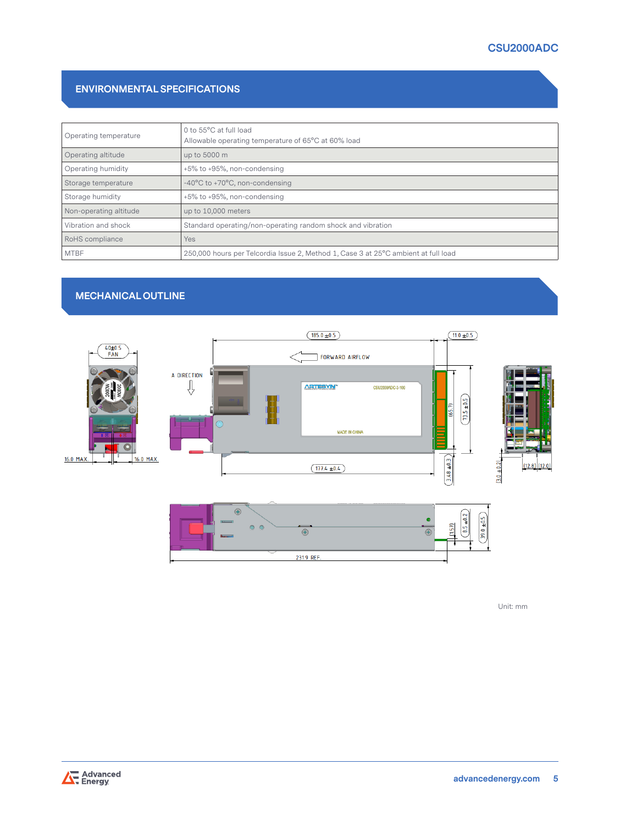# **CSU2000ADC**

#### **ENVIRONMENTAL SPECIFICATIONS**

| Operating temperature  | 0 to 55°C at full load<br>Allowable operating temperature of 65°C at 60% load      |
|------------------------|------------------------------------------------------------------------------------|
| Operating altitude     | up to 5000 m                                                                       |
| Operating humidity     | +5% to +95%, non-condensing                                                        |
| Storage temperature    | -40°C to +70°C, non-condensing                                                     |
| Storage humidity       | +5% to +95%, non-condensing                                                        |
| Non-operating altitude | up to 10,000 meters                                                                |
| Vibration and shock    | Standard operating/non-operating random shock and vibration                        |
| RoHS compliance        | <b>Yes</b>                                                                         |
| <b>MTBF</b>            | 250,000 hours per Telcordia Issue 2, Method 1, Case 3 at 25°C ambient at full load |

# **MECHANICAL OUTLINE**





Unit: mm

Advanced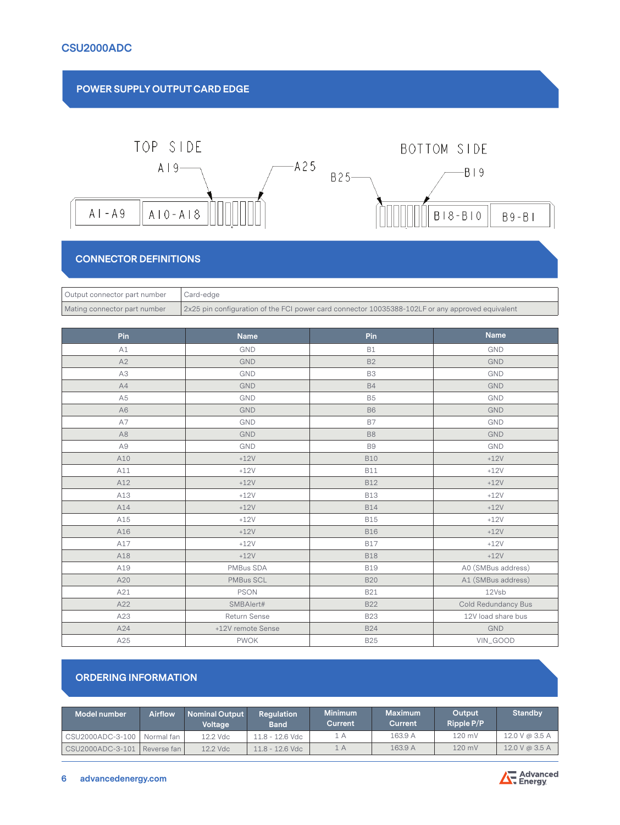

## **CONNECTOR DEFINITIONS**

| Output connector part number | Card-edge                                                                                        |
|------------------------------|--------------------------------------------------------------------------------------------------|
| Mating connector part number | 2x25 pin configuration of the FCI power card connector 10035388-102LF or any approved equivalent |

| Pin            | <b>Name</b>       | Pin            | <b>Name</b>         |
|----------------|-------------------|----------------|---------------------|
| A1             | GND               | <b>B1</b>      | GND                 |
| A2             | GND               | <b>B2</b>      | <b>GND</b>          |
| A3             | GND               | B3             | GND                 |
| A4             | GND               | <b>B4</b>      | <b>GND</b>          |
| A <sub>5</sub> | GND               | <b>B5</b>      | GND                 |
| A <sub>6</sub> | <b>GND</b>        | <b>B6</b>      | <b>GND</b>          |
| A7             | <b>GND</b>        | <b>B7</b>      | GND                 |
| A <sub>8</sub> | GND               | B <sub>8</sub> | <b>GND</b>          |
| A9             | GND               | B <sub>9</sub> | GND                 |
| A10            | $+12V$            | <b>B10</b>     | $+12V$              |
| A11            | $+12V$            | <b>B11</b>     | $+12V$              |
| A12            | $+12V$            | <b>B12</b>     | $+12V$              |
| A13            | $+12V$            | <b>B13</b>     | $+12V$              |
| A14            | $+12V$            | <b>B14</b>     | $+12V$              |
| A15            | $+12V$            | <b>B15</b>     | $+12V$              |
| A16            | $+12V$            | <b>B16</b>     | $+12V$              |
| A17            | $+12V$            | <b>B17</b>     | $+12V$              |
| A18            | $+12V$            | <b>B18</b>     | $+12V$              |
| A19            | PMBus SDA         | <b>B19</b>     | A0 (SMBus address)  |
| A20            | PMBus SCL         | <b>B20</b>     | A1 (SMBus address)  |
| A21            | <b>PSON</b>       | <b>B21</b>     | 12Vsb               |
| A22            | SMBAlert#         | <b>B22</b>     | Cold Redundancy Bus |
| A23            | Return Sense      | <b>B23</b>     | 12V load share bus  |
| A24            | +12V remote Sense | <b>B24</b>     | <b>GND</b>          |
| A25            | <b>PWOK</b>       | <b>B25</b>     | VIN_GOOD            |

# **ORDERING INFORMATION**

| Model number                 | <b>Airflow</b> | <b>Nominal Output</b><br>Voltage | <b>Regulation</b><br><b>Band</b> | <b>Minimum</b><br>Current | <b>Maximum</b><br>Current | Output<br>Ripple P/P | <b>Standby</b> |
|------------------------------|----------------|----------------------------------|----------------------------------|---------------------------|---------------------------|----------------------|----------------|
| CSU2000ADC-3-100             | Normal fan     | 12.2 Vdc                         | 11.8 - 12.6 Vdc                  | 1 A                       | 163.9 A                   | 120 mV               | 12.0 V @ 3.5 A |
| CSU2000ADC-3-101 Reverse fan |                | 12.2 Vdc                         | $11.8 - 12.6$ Vdc                | 1 A                       | 163.9 A                   | $120$ mV             | 12.0 V @ 3.5 A |